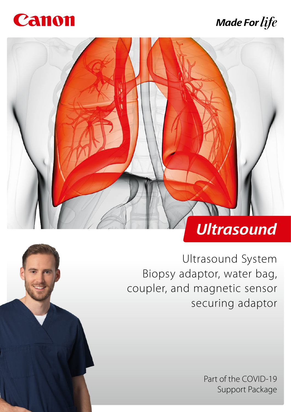

## **Made For life**



Ultrasound System Biopsy adaptor, water bag, coupler, and magnetic sensor securing adaptor

> Part of the COVID-19 Support Package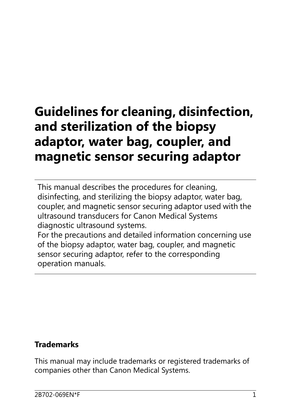# **Guidelines for cleaning, disinfection, and sterilization of the biopsy adaptor, water bag, coupler, and magnetic sensor securing adaptor**

This manual describes the procedures for cleaning, disinfecting, and sterilizing the biopsy adaptor, water bag, coupler, and magnetic sensor securing adaptor used with the ultrasound transducers for Canon Medical Systems diagnostic ultrasound systems. For the precautions and detailed information concerning use

of the biopsy adaptor, water bag, coupler, and magnetic sensor securing adaptor, refer to the corresponding operation manuals.

#### **Trademarks**

This manual may include trademarks or registered trademarks of companies other than Canon Medical Systems.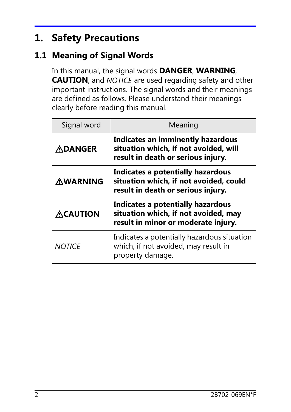## **1. Safety Precautions**

#### **1.1 Meaning of Signal Words**

In this manual, the signal words **DANGER**, **WARNING**, **CAUTION**, and NOTICE are used regarding safety and other important instructions. The signal words and their meanings are defined as follows. Please understand their meanings clearly before reading this manual.

| Signal word     | Meaning                                                                                                           |
|-----------------|-------------------------------------------------------------------------------------------------------------------|
| <b>ADANGER</b>  | Indicates an imminently hazardous<br>situation which, if not avoided, will<br>result in death or serious injury.  |
| <b>AWARNING</b> | Indicates a potentially hazardous<br>situation which, if not avoided, could<br>result in death or serious injury. |
| <b>ACAUTION</b> | Indicates a potentially hazardous<br>situation which, if not avoided, may<br>result in minor or moderate injury.  |
| <b>NOTICE</b>   | Indicates a potentially hazardous situation<br>which, if not avoided, may result in<br>property damage.           |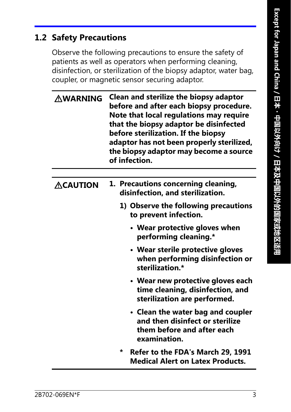#### **1.2 Safety Precautions**

Observe the following precautions to ensure the safety of patients as well as operators when performing cleaning, disinfection, or sterilization of the biopsy adaptor, water bag, coupler, or magnetic sensor securing adaptor.

| <b>AWARNING</b> | <b>Clean and sterilize the biopsy adaptor</b><br>before and after each biopsy procedure.<br>Note that local regulations may require<br>that the biopsy adaptor be disinfected<br>before sterilization. If the biopsy<br>adaptor has not been properly sterilized,<br>the biopsy adaptor may become a source<br>of infection. |  |  |  |  |
|-----------------|------------------------------------------------------------------------------------------------------------------------------------------------------------------------------------------------------------------------------------------------------------------------------------------------------------------------------|--|--|--|--|
|                 |                                                                                                                                                                                                                                                                                                                              |  |  |  |  |
| <b>ACAUTION</b> | 1. Precautions concerning cleaning,<br>disinfection, and sterilization.                                                                                                                                                                                                                                                      |  |  |  |  |
|                 | 1) Observe the following precautions<br>to prevent infection.                                                                                                                                                                                                                                                                |  |  |  |  |
|                 | • Wear protective gloves when<br>performing cleaning.*                                                                                                                                                                                                                                                                       |  |  |  |  |
|                 | • Wear sterile protective gloves<br>when performing disinfection or<br>sterilization.*                                                                                                                                                                                                                                       |  |  |  |  |
|                 | • Wear new protective gloves each<br>time cleaning, disinfection, and<br>sterilization are performed.                                                                                                                                                                                                                        |  |  |  |  |
|                 | • Clean the water bag and coupler<br>and then disinfect or sterilize<br>them before and after each<br>examination.                                                                                                                                                                                                           |  |  |  |  |
|                 | $\star$<br><b>Refer to the FDA's March 29, 1991</b><br><b>Medical Alert on Latex Products.</b>                                                                                                                                                                                                                               |  |  |  |  |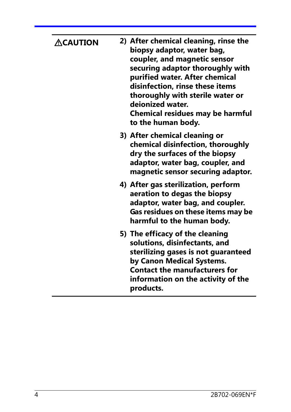| <b>ACAUTION</b> | 2) After chemical cleaning, rinse the<br>biopsy adaptor, water bag,<br>coupler, and magnetic sensor<br>securing adaptor thoroughly with<br>purified water. After chemical<br>disinfection, rinse these items<br>thoroughly with sterile water or<br>deionized water.<br><b>Chemical residues may be harmful</b><br>to the human body. |
|-----------------|---------------------------------------------------------------------------------------------------------------------------------------------------------------------------------------------------------------------------------------------------------------------------------------------------------------------------------------|
|                 | 3) After chemical cleaning or<br>chemical disinfection, thoroughly<br>dry the surfaces of the biopsy<br>adaptor, water bag, coupler, and<br>magnetic sensor securing adaptor.                                                                                                                                                         |
|                 | 4) After gas sterilization, perform<br>aeration to degas the biopsy<br>adaptor, water bag, and coupler.<br>Gas residues on these items may be<br>harmful to the human body.                                                                                                                                                           |
|                 | 5) The efficacy of the cleaning<br>solutions, disinfectants, and<br>sterilizing gases is not guaranteed<br>by Canon Medical Systems.<br><b>Contact the manufacturers for</b><br>information on the activity of the<br>products.                                                                                                       |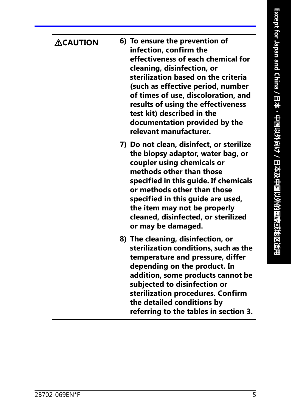| $\bigtriangleup$ CAUTION | 6) To ensure the prevention of<br>infection, confirm the<br>effectiveness of each chemical for<br>cleaning, disinfection, or<br>sterilization based on the criteria<br>(such as effective period, number<br>of times of use, discoloration, and<br>results of using the effectiveness<br>test kit) described in the<br>documentation provided by the<br>relevant manufacturer. |
|--------------------------|--------------------------------------------------------------------------------------------------------------------------------------------------------------------------------------------------------------------------------------------------------------------------------------------------------------------------------------------------------------------------------|
|                          | 7) Do not clean, disinfect, or sterilize<br>the biopsy adaptor, water bag, or<br>coupler using chemicals or<br>methods other than those<br>specified in this guide. If chemicals<br>or methods other than those<br>specified in this guide are used,<br>the item may not be properly<br>cleaned, disinfected, or sterilized<br>or may be damaged.                              |
|                          | 8) The cleaning, disinfection, or<br>sterilization conditions, such as the<br>temperature and pressure, differ<br>depending on the product. In<br>addition, some products cannot be<br>subjected to disinfection or<br>sterilization procedures. Confirm<br>the detailed conditions by<br>referring to the tables in section 3.                                                |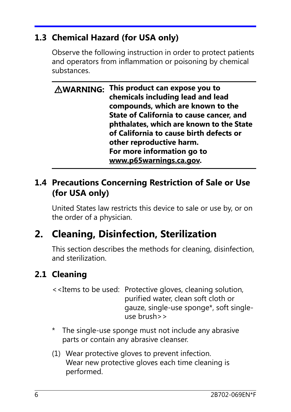#### **1.3 Chemical Hazard (for USA only)**

Observe the following instruction in order to protect patients and operators from inflammation or poisoning by chemical substances.

| <b>AWARNING: This product can expose you to</b><br>chemicals including lead and lead<br>compounds, which are known to the       |
|---------------------------------------------------------------------------------------------------------------------------------|
| State of California to cause cancer, and<br>phthalates, which are known to the State<br>of California to cause birth defects or |
| other reproductive harm.                                                                                                        |
| For more information go to                                                                                                      |
| www.p65warnings.ca.gov.                                                                                                         |

#### **1.4 Precautions Concerning Restriction of Sale or Use (for USA only)**

United States law restricts this device to sale or use by, or on the order of a physician.

## **2. Cleaning, Disinfection, Sterilization**

This section describes the methods for cleaning, disinfection, and sterilization.

#### **2.1 Cleaning**

- <<Items to be used: Protective gloves, cleaning solution, purified water, clean soft cloth or gauze, single-use sponge\*, soft singleuse brush>>
- \* The single-use sponge must not include any abrasive parts or contain any abrasive cleanser.
- (1) Wear protective gloves to prevent infection. Wear new protective gloves each time cleaning is performed.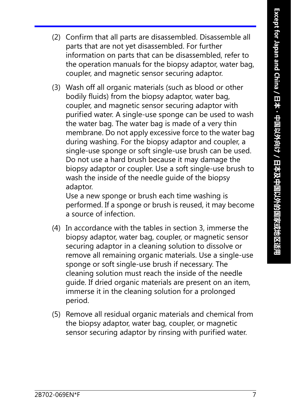- (2) Confirm that all parts are disassembled. Disassemble all parts that are not yet disassembled. For further information on parts that can be disassembled, refer to the operation manuals for the biopsy adaptor, water bag, coupler, and magnetic sensor securing adaptor.
- (3) Wash off all organic materials (such as blood or other bodily fluids) from the biopsy adaptor, water bag, coupler, and magnetic sensor securing adaptor with purified water. A single-use sponge can be used to wash the water bag. The water bag is made of a very thin membrane. Do not apply excessive force to the water bag during washing. For the biopsy adaptor and coupler, a single-use sponge or soft single-use brush can be used. Do not use a hard brush because it may damage the biopsy adaptor or coupler. Use a soft single-use brush to wash the inside of the needle guide of the biopsy adaptor.

Use a new sponge or brush each time washing is performed. If a sponge or brush is reused, it may become a source of infection.

- (4) In accordance with the tables in section 3, immerse the biopsy adaptor, water bag, coupler, or magnetic sensor securing adaptor in a cleaning solution to dissolve or remove all remaining organic materials. Use a single-use sponge or soft single-use brush if necessary. The cleaning solution must reach the inside of the needle guide. If dried organic materials are present on an item, immerse it in the cleaning solution for a prolonged period.
- (5) Remove all residual organic materials and chemical from the biopsy adaptor, water bag, coupler, or magnetic sensor securing adaptor by rinsing with purified water.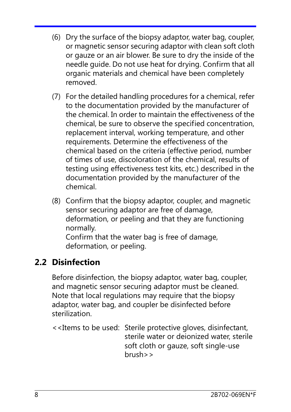- (6) Dry the surface of the biopsy adaptor, water bag, coupler, or magnetic sensor securing adaptor with clean soft cloth or gauze or an air blower. Be sure to dry the inside of the needle guide. Do not use heat for drying. Confirm that all organic materials and chemical have been completely removed.
- (7) For the detailed handling procedures for a chemical, refer to the documentation provided by the manufacturer of the chemical. In order to maintain the effectiveness of the chemical, be sure to observe the specified concentration, replacement interval, working temperature, and other requirements. Determine the effectiveness of the chemical based on the criteria (effective period, number of times of use, discoloration of the chemical, results of testing using effectiveness test kits, etc.) described in the documentation provided by the manufacturer of the chemical.
- (8) Confirm that the biopsy adaptor, coupler, and magnetic sensor securing adaptor are free of damage, deformation, or peeling and that they are functioning normally. Confirm that the water bag is free of damage, deformation, or peeling.

#### **2.2 Disinfection**

Before disinfection, the biopsy adaptor, water bag, coupler, and magnetic sensor securing adaptor must be cleaned. Note that local regulations may require that the biopsy adaptor, water bag, and coupler be disinfected before sterilization.

<<Items to be used: Sterile protective gloves, disinfectant, sterile water or deionized water, sterile soft cloth or gauze, soft single-use brush>>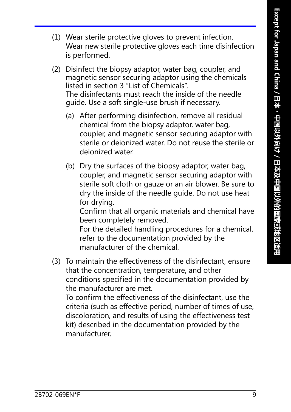- (1) Wear sterile protective gloves to prevent infection. Wear new sterile protective gloves each time disinfection is performed.
- (2) Disinfect the biopsy adaptor, water bag, coupler, and magnetic sensor securing adaptor using the chemicals listed in section 3 "List of Chemicals". The disinfectants must reach the inside of the needle guide. Use a soft single-use brush if necessary.
	- (a) After performing disinfection, remove all residual chemical from the biopsy adaptor, water bag, coupler, and magnetic sensor securing adaptor with sterile or deionized water. Do not reuse the sterile or deionized water.
	- (b) Dry the surfaces of the biopsy adaptor, water bag, coupler, and magnetic sensor securing adaptor with sterile soft cloth or gauze or an air blower. Be sure to dry the inside of the needle guide. Do not use heat for drying.

Confirm that all organic materials and chemical have been completely removed.

For the detailed handling procedures for a chemical, refer to the documentation provided by the manufacturer of the chemical.

(3) To maintain the effectiveness of the disinfectant, ensure that the concentration, temperature, and other conditions specified in the documentation provided by the manufacturer are met.

To confirm the effectiveness of the disinfectant, use the criteria (such as effective period, number of times of use, discoloration, and results of using the effectiveness test kit) described in the documentation provided by the manufacturer.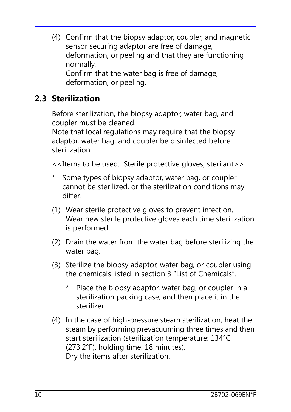(4) Confirm that the biopsy adaptor, coupler, and magnetic sensor securing adaptor are free of damage, deformation, or peeling and that they are functioning normally. Confirm that the water bag is free of damage, deformation, or peeling.

#### **2.3 Sterilization**

Before sterilization, the biopsy adaptor, water bag, and coupler must be cleaned.

Note that local regulations may require that the biopsy adaptor, water bag, and coupler be disinfected before sterilization.

<<Items to be used: Sterile protective gloves, sterilant>>

- \* Some types of biopsy adaptor, water bag, or coupler cannot be sterilized, or the sterilization conditions may differ.
- (1) Wear sterile protective gloves to prevent infection. Wear new sterile protective gloves each time sterilization is performed.
- (2) Drain the water from the water bag before sterilizing the water bag.
- (3) Sterilize the biopsy adaptor, water bag, or coupler using the chemicals listed in section 3 "List of Chemicals".
	- Place the biopsy adaptor, water bag, or coupler in a sterilization packing case, and then place it in the sterilizer.
- (4) In the case of high-pressure steam sterilization, heat the steam by performing prevacuuming three times and then start sterilization (sterilization temperature: 134°C (273.2°F), holding time: 18 minutes). Dry the items after sterilization.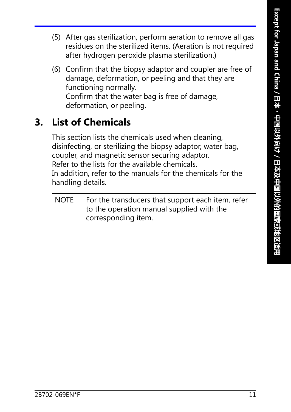- (5) After gas sterilization, perform aeration to remove all gas residues on the sterilized items. (Aeration is not required after hydrogen peroxide plasma sterilization.)
- (6) Confirm that the biopsy adaptor and coupler are free of damage, deformation, or peeling and that they are functioning normally. Confirm that the water bag is free of damage, deformation, or peeling.

## **3. List of Chemicals**

This section lists the chemicals used when cleaning, disinfecting, or sterilizing the biopsy adaptor, water bag, coupler, and magnetic sensor securing adaptor. Refer to the lists for the available chemicals. In addition, refer to the manuals for the chemicals for the handling details.

NOTE For the transducers that support each item, refer to the operation manual supplied with the corresponding item.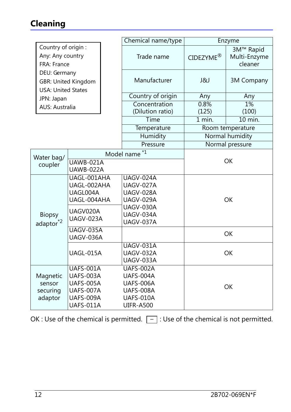### **Cleaning**

|                                                        |                                                                                                                 | Chemical name/type |                                                                                          | Enzyme                |                                      |
|--------------------------------------------------------|-----------------------------------------------------------------------------------------------------------------|--------------------|------------------------------------------------------------------------------------------|-----------------------|--------------------------------------|
| Country of origin:<br>Any: Any country<br>FRA: France  |                                                                                                                 |                    | Trade name                                                                               | CIDEZYME <sup>®</sup> | 3M™ Rapid<br>Multi-Enzyme<br>cleaner |
| DEU: Germany<br><b>USA: United States</b>              | <b>GBR: United Kingdom</b>                                                                                      |                    | Manufacturer                                                                             | ل&ا                   | <b>3M Company</b>                    |
| JPN: Japan                                             |                                                                                                                 |                    | Country of origin                                                                        | Any                   | Any                                  |
| <b>AUS: Australia</b>                                  |                                                                                                                 |                    | Concentration                                                                            | 0.8%                  | 1%                                   |
|                                                        |                                                                                                                 |                    | (Dilution ratio)                                                                         | (125)                 | (100)                                |
|                                                        |                                                                                                                 |                    | Time                                                                                     | $\overline{1}$ min.   | 10 min.                              |
|                                                        |                                                                                                                 |                    | Temperature                                                                              |                       | Room temperature                     |
|                                                        |                                                                                                                 |                    | Humidity                                                                                 |                       | Normal humidity                      |
|                                                        |                                                                                                                 |                    | Pressure                                                                                 |                       | Normal pressure                      |
|                                                        |                                                                                                                 |                    | $*1$<br>Model name                                                                       |                       |                                      |
| Water bag/<br><b>UAWB-021A</b><br>coupler<br>UAWB-022A |                                                                                                                 |                    |                                                                                          | <b>OK</b>             |                                      |
| <b>Biopsy</b>                                          | UAGL-001AHA<br>UAGL-002AHA<br>UAGL004A<br>UAGL-004AHA<br>UAGV020A<br>UAGV-023A<br><b>UAGV-035A</b><br>UAGV-036A |                    | <b>UAGV-024A</b><br>UAGV-027A<br>UAGV-028A<br><b>UAGV-029A</b><br>UAGV-030A<br>UAGV-034A | <b>OK</b>             |                                      |
| $ad$ aptor $^*$ <sup>2</sup>                           |                                                                                                                 |                    | <b>UAGV-037A</b>                                                                         |                       |                                      |
|                                                        |                                                                                                                 |                    |                                                                                          |                       | OK                                   |
|                                                        | UAGL-015A                                                                                                       |                    | <b>UAGV-031A</b><br><b>UAGV-032A</b><br>UAGV-033A                                        | <b>OK</b>             |                                      |
| Magnetic<br>sensor<br>securing<br>adaptor              | UAFS-001A<br>UAFS-003A<br><b>UAFS-005A</b><br>UAFS-007A<br>UAFS-009A<br>UAFS-011A                               |                    | UAFS-002A<br>UAFS-004A<br>UAFS-006A<br>UAFS-008A<br>UAFS-010A<br><b>UIFR-A500</b>        |                       | OK                                   |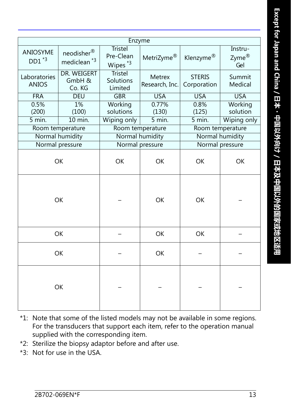| Enzyme                       |                                       |                                                    |                                 |                              |                                          |  |  |  |
|------------------------------|---------------------------------------|----------------------------------------------------|---------------------------------|------------------------------|------------------------------------------|--|--|--|
| <b>ANIOSYME</b><br>$DD1^*$   | neodisher®<br>mediclean <sup>*3</sup> | <b>Tristel</b><br>Pre-Clean<br>Wipes <sup>*3</sup> | MetriZyme <sup>®</sup>          | Klenzyme <sup>®</sup>        | Instru-<br>$Z$ yme $^{\circledR}$<br>Gel |  |  |  |
| Laboratories<br><b>ANIOS</b> | DR. WEIGERT<br>GmbH &<br>Co. KG       | <b>Tristel</b><br>Solutions<br>Limited             | <b>Metrex</b><br>Research, Inc. | <b>STERIS</b><br>Corporation | Summit<br>Medical                        |  |  |  |
| <b>FRA</b>                   | <b>DEU</b>                            | <b>GBR</b>                                         | <b>USA</b>                      | <b>USA</b>                   | <b>USA</b>                               |  |  |  |
| 0.5%<br>(200)                | 1%<br>(100)                           | Working<br>solutions                               | 0.77%<br>(130)                  | 0.8%<br>(125)                | Working<br>solution                      |  |  |  |
| 5 min.                       | 10 min.                               | Wiping only                                        | $\overline{5}$ min.             | 5 min.                       | Wiping only                              |  |  |  |
|                              | Room temperature                      |                                                    | Room temperature                |                              | Room temperature                         |  |  |  |
|                              | Normal humidity                       |                                                    | Normal humidity                 |                              | Normal humidity                          |  |  |  |
|                              | Normal pressure                       |                                                    | Normal pressure                 |                              | Normal pressure                          |  |  |  |
| OK                           |                                       | <b>OK</b>                                          | OK                              | OK                           | OK                                       |  |  |  |
| <b>OK</b>                    |                                       |                                                    | <b>OK</b>                       | <b>OK</b>                    |                                          |  |  |  |
|                              | OK                                    |                                                    | <b>OK</b>                       | <b>OK</b>                    |                                          |  |  |  |
| OK                           |                                       |                                                    | OK                              |                              |                                          |  |  |  |
| OK                           |                                       |                                                    |                                 |                              |                                          |  |  |  |

- \*1: Note that some of the listed models may not be available in some regions. For the transducers that support each item, refer to the operation manual supplied with the corresponding item.
- \*2: Sterilize the biopsy adaptor before and after use.
- \*3: Not for use in the USA.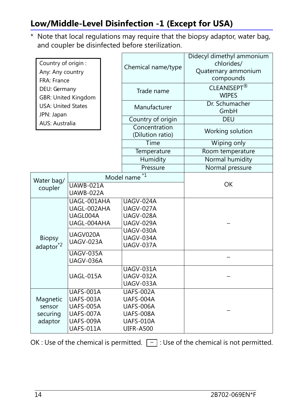#### **Low/Middle-Level Disinfection -1 (Except for USA)**

\* Note that local regulations may require that the biopsy adaptor, water bag, and coupler be disinfected before sterilization.

| Country of origin:<br>Any: Any country<br>FRA: France |                                                                                    |  | Chemical name/type                                                   | Didecyl dimethyl ammonium<br>chlorides/<br>Quaternary ammonium<br>compounds |  |
|-------------------------------------------------------|------------------------------------------------------------------------------------|--|----------------------------------------------------------------------|-----------------------------------------------------------------------------|--|
| DEU: Germany                                          | <b>GBR: United Kingdom</b>                                                         |  | Trade name                                                           | CLEANISEPT®<br><b>WIPES</b>                                                 |  |
| <b>USA: United States</b><br>JPN: Japan               |                                                                                    |  | Manufacturer                                                         | Dr. Schumacher<br>GmbH                                                      |  |
| <b>AUS: Australia</b>                                 |                                                                                    |  | Country of origin                                                    | <b>DEU</b>                                                                  |  |
|                                                       |                                                                                    |  | Concentration<br>(Dilution ratio)                                    | Working solution                                                            |  |
|                                                       |                                                                                    |  | Time                                                                 | Wiping only                                                                 |  |
|                                                       |                                                                                    |  | Temperature                                                          | Room temperature                                                            |  |
|                                                       |                                                                                    |  | Humidity                                                             | Normal humidity                                                             |  |
|                                                       |                                                                                    |  | Pressure                                                             | Normal pressure                                                             |  |
| Water bag/                                            |                                                                                    |  | $*1$<br>Model name                                                   |                                                                             |  |
| coupler                                               | $UAWB-021A$<br>UAWB-022A                                                           |  |                                                                      | <b>OK</b>                                                                   |  |
|                                                       | UAGL-001AHA<br>UAGL-002AHA<br>UAGL004A<br>UAGL-004AHA                              |  | <b>UAGV-024A</b><br>UAGV-027A<br>UAGV-028A<br>UAGV-029A              |                                                                             |  |
| <b>Biopsy</b><br>adaptor <sup>*2</sup>                | UAGV020A<br><b>UAGV-023A</b>                                                       |  | UAGV-030A<br>UAGV-034A<br>UAGV-037A                                  |                                                                             |  |
|                                                       | <b>UAGV-035A</b><br>UAGV-036A                                                      |  |                                                                      |                                                                             |  |
|                                                       | UAGL-015A                                                                          |  | UAGV-031A<br>UAGV-032A<br>UAGV-033A                                  |                                                                             |  |
| Magnetic<br>sensor<br>securing<br>adaptor             | <b>UAFS-001A</b><br><b>UAFS-003A</b><br><b>UAFS-005A</b><br>UAFS-007A<br>UAFS-009A |  | UAFS-002A<br>UAFS-004A<br>UAFS-006A<br><b>UAFS-008A</b><br>UAFS-010A |                                                                             |  |
|                                                       | UAFS-011A                                                                          |  | <b>UIFR-A500</b>                                                     |                                                                             |  |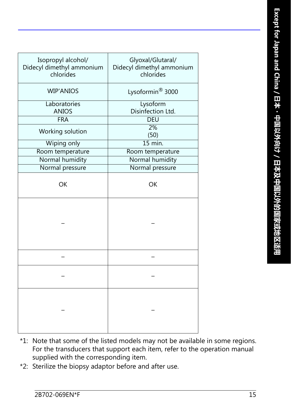| Isopropyl alcohol/<br>Didecyl dimethyl ammonium<br>chlorides | Glyoxal/Glutaral/<br>Didecyl dimethyl ammonium<br>chlorides |  |  |
|--------------------------------------------------------------|-------------------------------------------------------------|--|--|
| <b>WIP'ANIOS</b>                                             | Lysoformin <sup>®</sup> 3000                                |  |  |
| Laboratories                                                 | Lysoform                                                    |  |  |
| <b>ANIOS</b>                                                 | Disinfection Ltd.                                           |  |  |
| <b>FRA</b>                                                   | <b>DEU</b>                                                  |  |  |
| Working solution                                             | 2%<br>(50)                                                  |  |  |
| Wiping only                                                  | $15$ min.                                                   |  |  |
| Room temperature                                             | Room temperature                                            |  |  |
| Normal humidity                                              | Normal humidity                                             |  |  |
| Normal pressure                                              | Normal pressure                                             |  |  |
| <b>OK</b>                                                    | OK                                                          |  |  |
|                                                              |                                                             |  |  |
|                                                              |                                                             |  |  |
|                                                              |                                                             |  |  |
|                                                              |                                                             |  |  |

- \*1: Note that some of the listed models may not be available in some regions. For the transducers that support each item, refer to the operation manual supplied with the corresponding item.
- \*2: Sterilize the biopsy adaptor before and after use.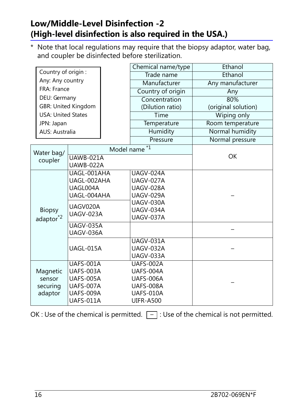#### **Low/Middle-Level Disinfection -2 (High-level disinfection is also required in the USA.)**

\* Note that local regulations may require that the biopsy adaptor, water bag, and coupler be disinfected before sterilization.

|                                         |                                      |              | Chemical name/type | Ethanol             |  |
|-----------------------------------------|--------------------------------------|--------------|--------------------|---------------------|--|
| Country of origin :<br>Any: Any country |                                      | Trade name   | Ethanol            |                     |  |
|                                         |                                      | Manufacturer | Any manufacturer   |                     |  |
| FRA: France                             |                                      |              | Country of origin  | Any                 |  |
| DEU: Germany                            |                                      |              | Concentration      | 80%                 |  |
|                                         | <b>GBR: United Kingdom</b>           |              | (Dilution ratio)   | (original solution) |  |
| <b>USA: United States</b>               |                                      |              | Time               | Wiping only         |  |
| JPN: Japan                              |                                      |              | Temperature        | Room temperature    |  |
| <b>AUS: Australia</b>                   |                                      |              | Humidity           | Normal humidity     |  |
|                                         |                                      |              | Pressure           | Normal pressure     |  |
| Water bag/                              |                                      | Model name   | $*1$               |                     |  |
| coupler                                 | UAWB-021A                            |              |                    | <b>OK</b>           |  |
|                                         | UAWB-022A                            |              |                    |                     |  |
|                                         | UAGL-001AHA                          |              | <b>UAGV-024A</b>   |                     |  |
|                                         | UAGL-002AHA                          |              | UAGV-027A          |                     |  |
|                                         | UAGL004A                             |              | UAGV-028A          |                     |  |
|                                         | UAGL-004AHA                          |              | UAGV-029A          |                     |  |
|                                         | UAGV020A<br>UAGV-023A                |              | UAGV-030A          |                     |  |
| <b>Biopsy</b>                           |                                      |              | UAGV-034A          |                     |  |
| adaptor <sup>*2</sup>                   |                                      |              | <b>UAGV-037A</b>   |                     |  |
|                                         | <b>UAGV-035A</b><br><b>UAGV-036A</b> |              |                    |                     |  |
|                                         |                                      |              | <b>UAGV-031A</b>   |                     |  |
|                                         | UAGL-015A                            |              | UAGV-032A          |                     |  |
|                                         |                                      |              | <b>UAGV-033A</b>   |                     |  |
|                                         | UAFS-001A                            |              | UAFS-002A          |                     |  |
| Magnetic                                | UAFS-003A                            |              | UAFS-004A          |                     |  |
| <b>UAFS-005A</b><br>sensor              |                                      |              | <b>UAFS-006A</b>   |                     |  |
| securing                                | UAFS-007A                            |              | <b>UAFS-008A</b>   |                     |  |
| adaptor                                 | UAFS-009A                            |              | UAFS-010A          |                     |  |
|                                         | UAFS-011A                            |              | <b>UIFR-A500</b>   |                     |  |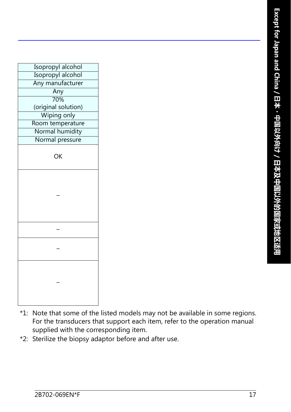| Isopropyl alcohol   |
|---------------------|
| Isopropyl alcohol   |
| Any manufacturer    |
| Any                 |
| 70%                 |
| (original solution) |
| <b>Wiping only</b>  |
| Room temperature    |
| Normal humidity     |
| Normal pressure     |
|                     |
| OK                  |
|                     |
|                     |
|                     |
|                     |
|                     |
|                     |
|                     |
|                     |
|                     |
|                     |
|                     |
|                     |
|                     |
|                     |
|                     |
|                     |
|                     |
|                     |

- \*1: Note that some of the listed models may not be available in some regions. For the transducers that support each item, refer to the operation manual supplied with the corresponding item.
- \*2: Sterilize the biopsy adaptor before and after use.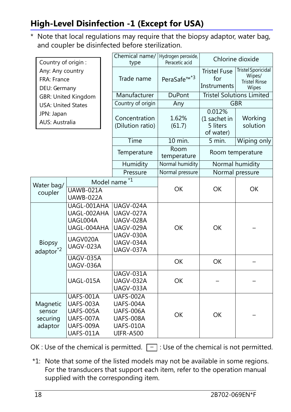#### **High-Level Disinfection -1 (Except for USA)**

\* Note that local regulations may require that the biopsy adaptor, water bag, and coupler be disinfected before sterilization.

|                                                     | Country of origin:                                                |                                                                                   |                                                                                   | Chemical name/<br>type                                                            | Hydrogen peroxide,<br>Peracetic acid                                 |                                                 | Chlorine dioxide                 |  |
|-----------------------------------------------------|-------------------------------------------------------------------|-----------------------------------------------------------------------------------|-----------------------------------------------------------------------------------|-----------------------------------------------------------------------------------|----------------------------------------------------------------------|-------------------------------------------------|----------------------------------|--|
| Any: Any country<br>FRA: France<br>DEU: Germany     |                                                                   | Trade name                                                                        | PeraSafe <sup>™*3</sup>                                                           | <b>Tristel Fuse</b><br>for<br>Instruments                                         | <b>Tristel Sporicidal</b><br>Wipes/<br><b>Tristel Rinse</b><br>Wipes |                                                 |                                  |  |
|                                                     |                                                                   | <b>GBR: United Kingdom</b>                                                        |                                                                                   | Manufacturer                                                                      | <b>DuPont</b>                                                        |                                                 | <b>Tristel Solutions Limited</b> |  |
|                                                     | <b>USA: United States</b>                                         |                                                                                   |                                                                                   | Country of origin<br>Any                                                          |                                                                      |                                                 | <b>GBR</b>                       |  |
|                                                     | JPN: Japan<br><b>AUS: Australia</b>                               |                                                                                   |                                                                                   | Concentration<br>(Dilution ratio)                                                 | 1.62%<br>(61.7)                                                      | 0.012%<br>(1 sachet in<br>5 liters<br>of water) | Working<br>solution              |  |
|                                                     |                                                                   |                                                                                   |                                                                                   | Time                                                                              | 10 min.                                                              | 5 min.                                          | Wiping only                      |  |
|                                                     |                                                                   |                                                                                   |                                                                                   | Temperature                                                                       | Room<br>temperature                                                  |                                                 | Room temperature                 |  |
|                                                     |                                                                   |                                                                                   |                                                                                   | Humidity                                                                          | Normal humidity                                                      |                                                 | Normal humidity                  |  |
|                                                     |                                                                   |                                                                                   |                                                                                   | Pressure                                                                          | Normal pressure                                                      | Normal pressure                                 |                                  |  |
| Model name <sup>*1</sup><br>Water bag/<br>UAWB-021A |                                                                   |                                                                                   |                                                                                   | <b>OK</b>                                                                         | <b>OK</b>                                                            | <b>OK</b>                                       |                                  |  |
|                                                     | coupler                                                           | UAWB-022A                                                                         |                                                                                   |                                                                                   |                                                                      |                                                 |                                  |  |
|                                                     | UAGL-001AHA<br>UAGL-002AHA<br>UAGL004A<br>UAGL-004AHA<br>UAGV020A |                                                                                   | UAGV-024A<br>UAGV-027A<br>UAGV-028A<br><b>UAGV-029A</b><br>UAGV-030A<br>UAGV-034A | <b>OK</b>                                                                         | <b>OK</b>                                                            |                                                 |                                  |  |
|                                                     | <b>Biopsy</b><br>adaptor <sup>*2</sup>                            | UAGV-023A                                                                         |                                                                                   | <b>UAGV-037A</b>                                                                  |                                                                      |                                                 |                                  |  |
|                                                     |                                                                   | <b>UAGV-035A</b><br><b>UAGV-036A</b>                                              |                                                                                   |                                                                                   | <b>OK</b>                                                            | <b>OK</b>                                       |                                  |  |
|                                                     |                                                                   | UAGL-015A                                                                         |                                                                                   | <b>UAGV-031A</b><br>UAGV-032A<br>UAGV-033A                                        | OK                                                                   |                                                 |                                  |  |
|                                                     | Magnetic<br>sensor<br>securing<br>adaptor                         | UAFS-001A<br>UAFS-003A<br><b>UAFS-005A</b><br>UAFS-007A<br>UAFS-009A<br>UAFS-011A |                                                                                   | UAFS-002A<br>UAFS-004A<br>UAFS-006A<br>UAFS-008A<br>UAFS-010A<br><b>UIFR-A500</b> | <b>OK</b>                                                            | <b>OK</b>                                       |                                  |  |

OK : Use of the chemical is permitted.  $\boxed{-}$  : Use of the chemical is not permitted.

\*1: Note that some of the listed models may not be available in some regions. For the transducers that support each item, refer to the operation manual supplied with the corresponding item.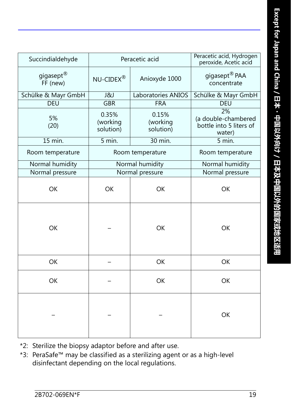| Succindialdehyde                  |                                | Peracetic acid                 | Peracetic acid, Hydrogen<br>peroxide, Acetic acid              |
|-----------------------------------|--------------------------------|--------------------------------|----------------------------------------------------------------|
| gigasept <sup>®</sup><br>FF (new) | NU-CIDEX®                      | Anioxyde 1000                  | gigasept <sup>®</sup> PAA<br>concentrate                       |
| Schülke & Mayr GmbH               | <b>J&amp;J</b>                 | Laboratories ANIOS             | Schülke & Mayr GmbH                                            |
| <b>DEU</b>                        | <b>GBR</b>                     | <b>FRA</b>                     | <b>DEU</b>                                                     |
| 5%<br>(20)                        | 0.35%<br>(working<br>solution) | 0.15%<br>(working<br>solution) | 2%<br>(a double-chambered<br>bottle into 5 liters of<br>water) |
| 15 min.                           | 5 min.                         | 30 min.                        | 5 min.                                                         |
| Room temperature                  | Room temperature               |                                | Room temperature                                               |
| Normal humidity                   |                                | Normal humidity                | Normal humidity                                                |
| Normal pressure                   |                                | Normal pressure                | Normal pressure                                                |
| OK                                | <b>OK</b>                      | <b>OK</b>                      | <b>OK</b>                                                      |
| OK                                |                                | <b>OK</b>                      | <b>OK</b>                                                      |
| OK                                |                                | OK                             | <b>OK</b>                                                      |
| OK                                |                                | OK                             | OK                                                             |
|                                   |                                |                                | OK                                                             |

- \*2: Sterilize the biopsy adaptor before and after use.
- \*3: PeraSafe™ may be classified as a sterilizing agent or as a high-level disinfectant depending on the local regulations.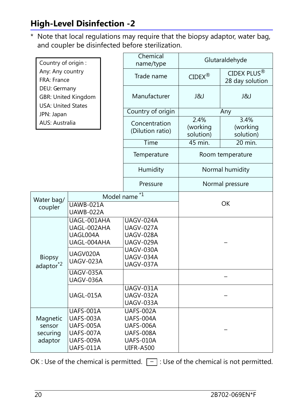#### **High-Level Disinfection -2**

\* Note that local regulations may require that the biopsy adaptor, water bag, and coupler be disinfected before sterilization.

|                                                                                                            | Country of origin :                                                               |                           | Chemical<br>name/type                                                                    | Glutaraldehyde                |                                            |
|------------------------------------------------------------------------------------------------------------|-----------------------------------------------------------------------------------|---------------------------|------------------------------------------------------------------------------------------|-------------------------------|--------------------------------------------|
| Any: Any country<br>FRA: France<br>DEU: Germany<br><b>GBR: United Kingdom</b><br><b>USA: United States</b> |                                                                                   |                           | Trade name                                                                               | $CIDEX^{\circledR}$           | CIDEX PLUS <sup>®</sup><br>28 day solution |
|                                                                                                            |                                                                                   |                           | Manufacturer                                                                             | <b>J&amp;J</b>                | <b>J&amp;J</b>                             |
| JPN: Japan                                                                                                 |                                                                                   |                           | Country of origin                                                                        | Any                           |                                            |
| <b>AUS: Australia</b>                                                                                      |                                                                                   |                           | Concentration<br>(Dilution ratio)                                                        | 2.4%<br>(working<br>solution) | 3.4%<br>(working<br>solution)              |
|                                                                                                            |                                                                                   | Time                      | 45 min.                                                                                  | 20 min.                       |                                            |
|                                                                                                            |                                                                                   | Temperature               | Room temperature                                                                         |                               |                                            |
|                                                                                                            |                                                                                   | Humidity                  | Normal humidity                                                                          |                               |                                            |
|                                                                                                            |                                                                                   | Pressure                  | Normal pressure                                                                          |                               |                                            |
| Water bag/                                                                                                 |                                                                                   | $^{\star}1$<br>Model name |                                                                                          |                               |                                            |
| coupler                                                                                                    | $UAWB-021A$<br>UAWB-022A                                                          |                           |                                                                                          | <b>OK</b>                     |                                            |
|                                                                                                            | UAGL-001AHA<br>UAGL-002AHA<br>UAGL004A<br>UAGL-004AHA                             |                           | UAGV-024A<br>UAGV-027A<br>UAGV-028A<br>UAGV-029A                                         |                               |                                            |
| <b>Biopsy</b><br>adaptor <sup>*2</sup>                                                                     | UAGV020A<br>UAGV-023A                                                             |                           | <b>UAGV-030A</b><br>UAGV-034A<br><b>UAGV-037A</b>                                        |                               |                                            |
|                                                                                                            | <b>UAGV-035A</b><br>UAGV-036A                                                     |                           |                                                                                          |                               |                                            |
|                                                                                                            | UAGL-015A                                                                         |                           | <b>UAGV-031A</b><br>UAGV-032A<br>UAGV-033A                                               |                               |                                            |
| Magnetic<br>sensor<br>securing<br>adaptor                                                                  | UAFS-001A<br>UAFS-003A<br><b>UAFS-005A</b><br>UAFS-007A<br>UAFS-009A<br>UAFS-011A |                           | UAFS-002A<br>UAFS-004A<br><b>UAFS-006A</b><br>UAFS-008A<br>UAFS-010A<br><b>UIFR-A500</b> |                               |                                            |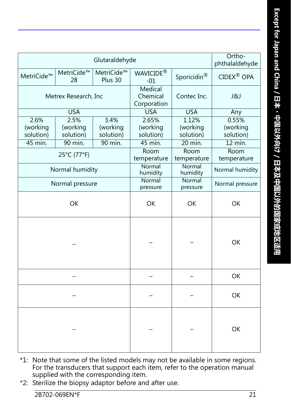|                               |                               | Glutaraldehyde                |                                    |                                | Ortho-<br>phthalaldehyde       |
|-------------------------------|-------------------------------|-------------------------------|------------------------------------|--------------------------------|--------------------------------|
| MetriCide™                    | MetriCide™<br>28              | MetriCide™<br>Plus 30         | WAVICIDE <sup>®</sup><br>$-01$     | Sporicidin <sup>®</sup>        | CIDEX <sup>®</sup> OPA         |
| Metrex Research, Inc.         |                               |                               | Medical<br>Chemical<br>Corporation | Contec Inc.                    | J&J                            |
|                               | <b>USA</b>                    |                               | <b>USA</b>                         | <b>USA</b>                     | Any                            |
| 2.6%<br>(working<br>solution) | 2.5%<br>(working<br>solution) | 3.4%<br>(working<br>solution) | 2.65%<br>(working<br>solution)     | 1.12%<br>(working<br>solution) | 0.55%<br>(working<br>solution) |
| 45 min.                       | 90 min.                       | 90 min.                       | 45 min.                            | $20$ min.                      | $12$ min.                      |
|                               | 25°C (77°F)                   |                               | Room<br>temperature                | Room<br>temperature            | Room<br>temperature            |
| Normal humidity               |                               |                               | Normal<br>humidity                 | Normal<br>humidity             | Normal humidity                |
| Normal pressure               |                               |                               | Normal<br>pressure                 | Normal<br>pressure             | Normal pressure                |
| <b>OK</b>                     |                               |                               | <b>OK</b>                          | <b>OK</b>                      | <b>OK</b>                      |
|                               |                               |                               |                                    |                                | <b>OK</b>                      |
|                               |                               |                               |                                    |                                | OK                             |
|                               |                               |                               |                                    |                                | OK                             |
|                               |                               |                               |                                    |                                | OK                             |

- \*1: Note that some of the listed models may not be available in some regions. For the transducers that support each item, refer to the operation manual supplied with the corresponding item.
- \*2: Sterilize the biopsy adaptor before and after use.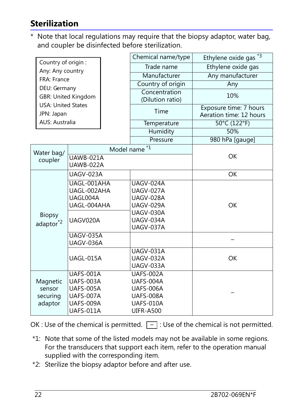#### **Sterilization**

\* Note that local regulations may require that the biopsy adaptor, water bag, and coupler be disinfected before sterilization.

|                                                     |                                                                                                                                                   |                                |                                   | Chemical name/type | Ethylene oxide gas *3                             |
|-----------------------------------------------------|---------------------------------------------------------------------------------------------------------------------------------------------------|--------------------------------|-----------------------------------|--------------------|---------------------------------------------------|
| Country of origin:                                  |                                                                                                                                                   |                                | Trade name                        | Ethylene oxide gas |                                                   |
|                                                     | Any: Any country<br>FRA: France<br>DEU: Germany<br><b>GBR: United Kingdom</b><br><b>USA: United States</b><br>JPN: Japan<br><b>AUS: Australia</b> |                                |                                   | Manufacturer       | Any manufacturer                                  |
|                                                     |                                                                                                                                                   |                                |                                   | Country of origin  | Any                                               |
|                                                     |                                                                                                                                                   |                                | Concentration<br>(Dilution ratio) |                    | 10%                                               |
|                                                     |                                                                                                                                                   |                                |                                   | Time               | Exposure time: 7 hours<br>Aeration time: 12 hours |
|                                                     |                                                                                                                                                   |                                |                                   | Temperature        | 50°C (122°F)                                      |
|                                                     |                                                                                                                                                   |                                |                                   | Humidity           | 50%                                               |
|                                                     |                                                                                                                                                   |                                |                                   | Pressure           | 980 hPa [gauge]                                   |
|                                                     |                                                                                                                                                   |                                | Model name                        | $*1$               |                                                   |
|                                                     | Water bag/<br>coupler                                                                                                                             | $\overline{\text{UAWB-021}}$ A |                                   |                    | <b>OK</b>                                         |
| UAWB-022A                                           |                                                                                                                                                   |                                |                                   |                    |                                                   |
| UAGV-023A<br>UAGL-001AHA<br>UAGL-002AHA<br>UAGL004A |                                                                                                                                                   |                                | <b>OK</b>                         |                    |                                                   |
|                                                     |                                                                                                                                                   |                                | <b>UAGV-024A</b>                  |                    |                                                   |
|                                                     |                                                                                                                                                   |                                |                                   | UAGV-027A          |                                                   |
|                                                     |                                                                                                                                                   |                                |                                   | UAGV-028A          |                                                   |
|                                                     |                                                                                                                                                   | UAGL-004AHA                    |                                   | UAGV-029A          | <b>OK</b>                                         |
|                                                     | <b>Biopsy</b>                                                                                                                                     |                                |                                   | UAGV-030A          |                                                   |
| adaptor <sup>*2</sup>                               |                                                                                                                                                   | UAGV020A                       |                                   | UAGV-034A          |                                                   |
|                                                     |                                                                                                                                                   |                                |                                   | UAGV-037A          |                                                   |
|                                                     |                                                                                                                                                   | UAGV-035A<br>UAGV-036A         |                                   |                    |                                                   |
|                                                     |                                                                                                                                                   |                                |                                   | UAGV-031A          |                                                   |
|                                                     |                                                                                                                                                   | UAGL-015A                      |                                   | <b>UAGV-032A</b>   | <b>OK</b>                                         |
|                                                     |                                                                                                                                                   |                                |                                   | UAGV-033A          |                                                   |
| Magnetic                                            |                                                                                                                                                   | <b>UAFS-001A</b>               |                                   | UAFS-002A          |                                                   |
|                                                     |                                                                                                                                                   | UAFS-003A                      |                                   | UAFS-004A          |                                                   |
|                                                     | <b>UAFS-005A</b><br>sensor                                                                                                                        |                                |                                   | <b>UAFS-006A</b>   |                                                   |
|                                                     | securing                                                                                                                                          | UAFS-007A                      |                                   | <b>UAFS-008A</b>   |                                                   |
| adaptor                                             |                                                                                                                                                   | UAFS-009A                      |                                   | UAFS-010A          |                                                   |
|                                                     |                                                                                                                                                   | UAFS-011A                      |                                   | <b>UIFR-A500</b>   |                                                   |

- \*1: Note that some of the listed models may not be available in some regions. For the transducers that support each item, refer to the operation manual supplied with the corresponding item.
- \*2: Sterilize the biopsy adaptor before and after use.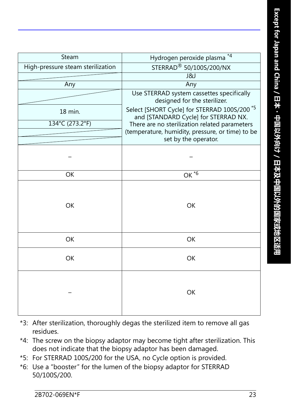| Steam                             | $*4$<br>Hydrogen peroxide plasma                                                                |  |
|-----------------------------------|-------------------------------------------------------------------------------------------------|--|
| High-pressure steam sterilization | STERRAD <sup>®</sup> 50/100S/200/NX                                                             |  |
|                                   | <b>J&amp;J</b>                                                                                  |  |
| Any                               | Any                                                                                             |  |
|                                   | Use STERRAD system cassettes specifically<br>designed for the sterilizer.                       |  |
| 18 min.                           | Select [SHORT Cycle] for STERRAD 100S/200 <sup>*5</sup><br>and [STANDARD Cycle] for STERRAD NX. |  |
| 134°C (273.2°F)                   | There are no sterilization related parameters                                                   |  |
|                                   | (temperature, humidity, pressure, or time) to be                                                |  |
|                                   | set by the operator.                                                                            |  |
|                                   |                                                                                                 |  |
| OK                                | OK $\overline{6}$                                                                               |  |
| <b>OK</b>                         | OK                                                                                              |  |
| <b>OK</b>                         | OK                                                                                              |  |
| <b>OK</b>                         | OK                                                                                              |  |
|                                   | OK                                                                                              |  |

- \*3: After sterilization, thoroughly degas the sterilized item to remove all gas residues.
- \*4: The screw on the biopsy adaptor may become tight after sterilization. This does not indicate that the biopsy adaptor has been damaged.
- \*5: For STERRAD 100S/200 for the USA, no Cycle option is provided.
- \*6: Use a "booster" for the lumen of the biopsy adaptor for STERRAD 50/100S/200.